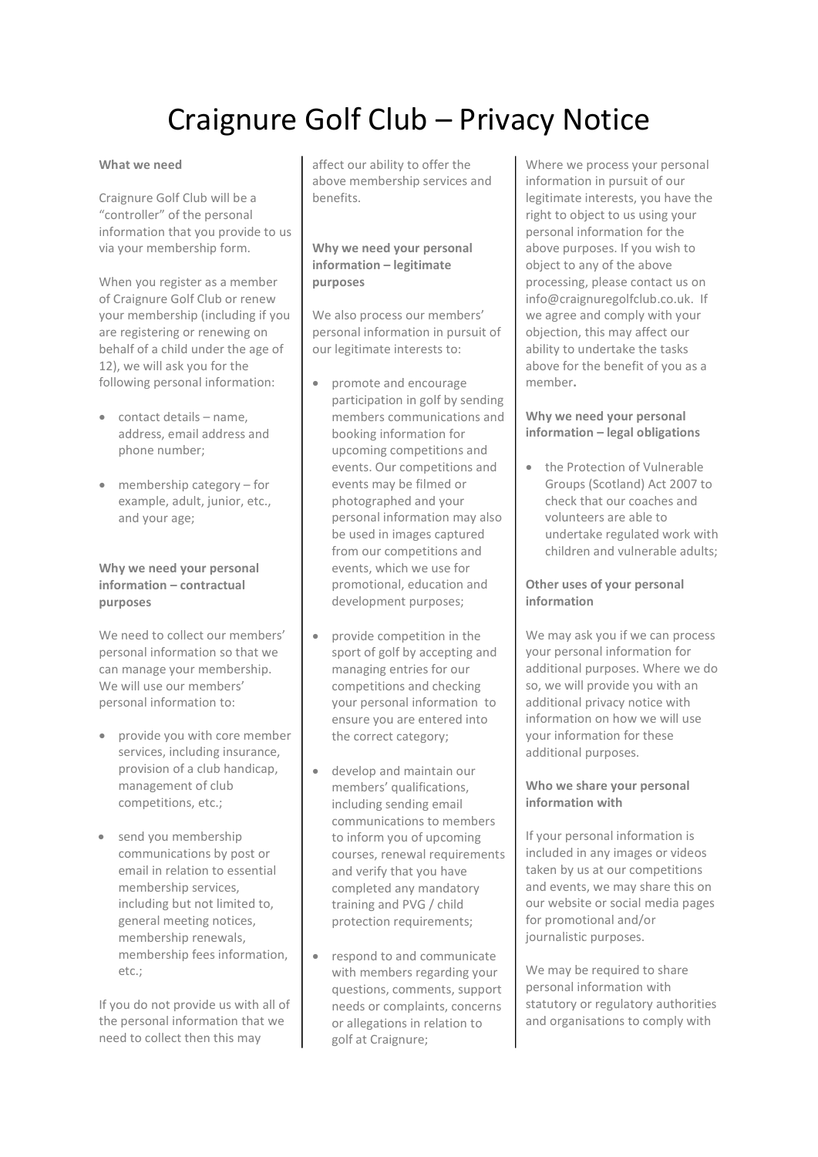# Craignure Golf Club – Privacy Notice

#### What we need

Craignure Golf Club will be a "controller" of the personal information that you provide to us via your membership form.

When you register as a member of Craignure Golf Club or renew your membership (including if you are registering or renewing on behalf of a child under the age of 12), we will ask you for the following personal information:

- contact details name, address, email address and phone number;
- membership category for example, adult, junior, etc., and your age;

#### Why we need your personal information – contractual purposes

We need to collect our members' personal information so that we can manage your membership. We will use our members' personal information to:

- provide you with core member services, including insurance, provision of a club handicap, management of club competitions, etc.;
- send you membership communications by post or email in relation to essential membership services, including but not limited to, general meeting notices, membership renewals, membership fees information, etc.;

If you do not provide us with all of the personal information that we need to collect then this may

affect our ability to offer the above membership services and benefits.

## Why we need your personal information – legitimate purposes

We also process our members' personal information in pursuit of our legitimate interests to:

- promote and encourage participation in golf by sending members communications and booking information for upcoming competitions and events. Our competitions and events may be filmed or photographed and your personal information may also be used in images captured from our competitions and events, which we use for promotional, education and development purposes;
- provide competition in the sport of golf by accepting and managing entries for our competitions and checking your personal information to ensure you are entered into the correct category;
- develop and maintain our members' qualifications, including sending email communications to members to inform you of upcoming courses, renewal requirements and verify that you have completed any mandatory training and PVG / child protection requirements;
- respond to and communicate with members regarding your questions, comments, support needs or complaints, concerns or allegations in relation to golf at Craignure;

Where we process your personal information in pursuit of our legitimate interests, you have the right to object to us using your personal information for the above purposes. If you wish to object to any of the above processing, please contact us on info@craignuregolfclub.co.uk. If we agree and comply with your objection, this may affect our ability to undertake the tasks above for the benefit of you as a member.

#### Why we need your personal information – legal obligations

• the Protection of Vulnerable Groups (Scotland) Act 2007 to check that our coaches and volunteers are able to undertake regulated work with children and vulnerable adults;

#### Other uses of your personal information

We may ask you if we can process your personal information for additional purposes. Where we do so, we will provide you with an additional privacy notice with information on how we will use your information for these additional purposes.

## Who we share your personal information with

If your personal information is included in any images or videos taken by us at our competitions and events, we may share this on our website or social media pages for promotional and/or journalistic purposes.

We may be required to share personal information with statutory or regulatory authorities and organisations to comply with